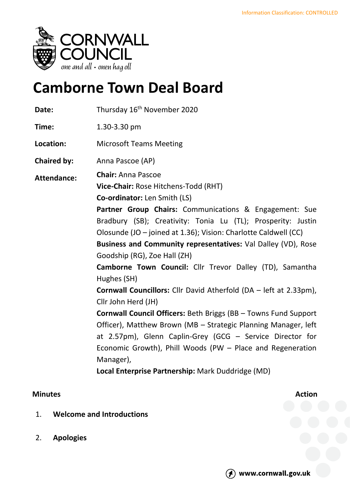

# **Camborne Town Deal Board**

| Date:              | Thursday 16 <sup>th</sup> November 2020                                                                                                                                                                                                                                                                                                                                                                                                                                                                                                                                                                                                                                                                                                                                                                                                                     |
|--------------------|-------------------------------------------------------------------------------------------------------------------------------------------------------------------------------------------------------------------------------------------------------------------------------------------------------------------------------------------------------------------------------------------------------------------------------------------------------------------------------------------------------------------------------------------------------------------------------------------------------------------------------------------------------------------------------------------------------------------------------------------------------------------------------------------------------------------------------------------------------------|
| Time:              | 1.30-3.30 pm                                                                                                                                                                                                                                                                                                                                                                                                                                                                                                                                                                                                                                                                                                                                                                                                                                                |
| Location:          | <b>Microsoft Teams Meeting</b>                                                                                                                                                                                                                                                                                                                                                                                                                                                                                                                                                                                                                                                                                                                                                                                                                              |
| <b>Chaired by:</b> | Anna Pascoe (AP)                                                                                                                                                                                                                                                                                                                                                                                                                                                                                                                                                                                                                                                                                                                                                                                                                                            |
| <b>Attendance:</b> | <b>Chair: Anna Pascoe</b><br>Vice-Chair: Rose Hitchens-Todd (RHT)<br><b>Co-ordinator:</b> Len Smith (LS)<br>Partner Group Chairs: Communications & Engagement: Sue<br>Bradbury (SB); Creativity: Tonia Lu (TL); Prosperity: Justin<br>Olosunde (JO - joined at 1.36); Vision: Charlotte Caldwell (CC)<br>Business and Community representatives: Val Dalley (VD), Rose<br>Goodship (RG), Zoe Hall (ZH)<br>Camborne Town Council: Cllr Trevor Dalley (TD), Samantha<br>Hughes (SH)<br><b>Cornwall Councillors:</b> Cllr David Atherfold (DA - left at 2.33pm),<br>Cllr John Herd (JH)<br><b>Cornwall Council Officers: Beth Briggs (BB - Towns Fund Support</b><br>Officer), Matthew Brown (MB - Strategic Planning Manager, left<br>at 2.57pm), Glenn Caplin-Grey (GCG - Service Director for<br>Economic Growth), Phill Woods (PW - Place and Regeneration |
|                    | Manager),<br>Local Enterprise Partnership: Mark Duddridge (MD)                                                                                                                                                                                                                                                                                                                                                                                                                                                                                                                                                                                                                                                                                                                                                                                              |

## **Minutes Action**

- 1. **Welcome and Introductions**
- 2. **Apologies**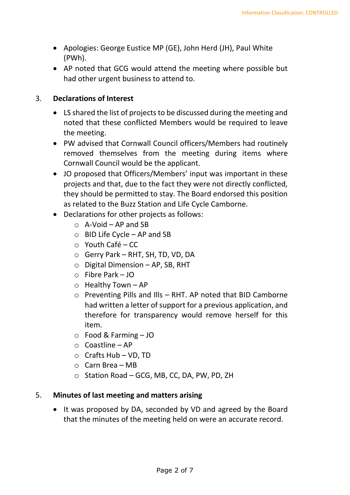- Apologies: George Eustice MP (GE), John Herd (JH), Paul White (PWh).
- AP noted that GCG would attend the meeting where possible but had other urgent business to attend to.

#### 3. **Declarations of Interest**

- LS shared the list of projects to be discussed during the meeting and noted that these conflicted Members would be required to leave the meeting.
- PW advised that Cornwall Council officers/Members had routinely removed themselves from the meeting during items where Cornwall Council would be the applicant.
- JO proposed that Officers/Members' input was important in these projects and that, due to the fact they were not directly conflicted, they should be permitted to stay. The Board endorsed this position as related to the Buzz Station and Life Cycle Camborne.
- Declarations for other projects as follows:
	- $\circ$  A-Void AP and SB
	- $\circ$  BID Life Cycle AP and SB
	- $\circ$  Youth Café CC
	- o Gerry Park RHT, SH, TD, VD, DA
	- $\circ$  Digital Dimension AP, SB, RHT
	- o Fibre Park JO
	- $\circ$  Healthy Town AP
	- $\circ$  Preventing Pills and Ills RHT. AP noted that BID Camborne had written a letter of support for a previous application, and therefore for transparency would remove herself for this item.
	- o Food & Farming JO
	- o Coastline AP
	- o Crafts Hub VD, TD
	- $\circ$  Carn Brea MB
	- o Station Road GCG, MB, CC, DA, PW, PD, ZH

#### 5. **Minutes of last meeting and matters arising**

• It was proposed by DA, seconded by VD and agreed by the Board that the minutes of the meeting held on were an accurate record.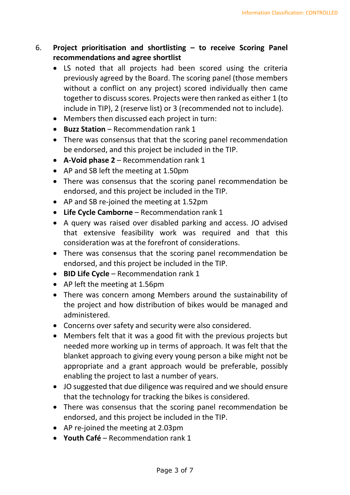## 6. **Project prioritisation and shortlisting – to receive Scoring Panel recommendations and agree shortlist**

- LS noted that all projects had been scored using the criteria previously agreed by the Board. The scoring panel (those members without a conflict on any project) scored individually then came together to discuss scores. Projects were then ranked as either 1 (to include in TIP), 2 (reserve list) or 3 (recommended not to include).
- Members then discussed each project in turn:
- **Buzz Station** Recommendation rank 1
- There was consensus that that the scoring panel recommendation be endorsed, and this project be included in the TIP.
- **A-Void phase 2** Recommendation rank 1
- AP and SB left the meeting at 1.50pm
- There was consensus that the scoring panel recommendation be endorsed, and this project be included in the TIP.
- AP and SB re-joined the meeting at 1.52pm
- **Life Cycle Camborne** Recommendation rank 1
- A query was raised over disabled parking and access. JO advised that extensive feasibility work was required and that this consideration was at the forefront of considerations.
- There was consensus that the scoring panel recommendation be endorsed, and this project be included in the TIP.
- **BID Life Cycle** Recommendation rank 1
- AP left the meeting at 1.56pm
- There was concern among Members around the sustainability of the project and how distribution of bikes would be managed and administered.
- Concerns over safety and security were also considered.
- Members felt that it was a good fit with the previous projects but needed more working up in terms of approach. It was felt that the blanket approach to giving every young person a bike might not be appropriate and a grant approach would be preferable, possibly enabling the project to last a number of years.
- JO suggested that due diligence was required and we should ensure that the technology for tracking the bikes is considered.
- There was consensus that the scoring panel recommendation be endorsed, and this project be included in the TIP.
- AP re-joined the meeting at 2.03pm
- **Youth Café** Recommendation rank 1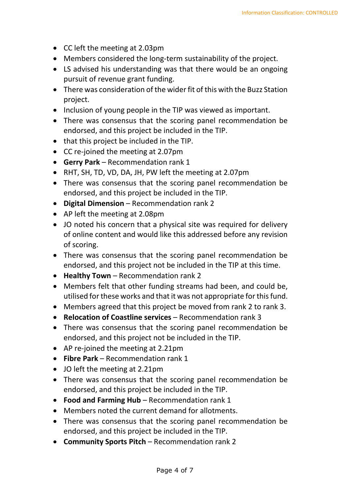- CC left the meeting at 2.03pm
- Members considered the long-term sustainability of the project.
- LS advised his understanding was that there would be an ongoing pursuit of revenue grant funding.
- There was consideration of the wider fit of this with the Buzz Station project.
- Inclusion of young people in the TIP was viewed as important.
- There was consensus that the scoring panel recommendation be endorsed, and this project be included in the TIP.
- that this project be included in the TIP.
- CC re-joined the meeting at 2.07pm
- **Gerry Park** Recommendation rank 1
- RHT, SH, TD, VD, DA, JH, PW left the meeting at 2.07pm
- There was consensus that the scoring panel recommendation be endorsed, and this project be included in the TIP.
- **Digital Dimension** Recommendation rank 2
- AP left the meeting at 2.08pm
- JO noted his concern that a physical site was required for delivery of online content and would like this addressed before any revision of scoring.
- There was consensus that the scoring panel recommendation be endorsed, and this project not be included in the TIP at this time.
- **Healthy Town** Recommendation rank 2
- Members felt that other funding streams had been, and could be, utilised for these works and that it was not appropriate for this fund.
- Members agreed that this project be moved from rank 2 to rank 3.
- **Relocation of Coastline services** Recommendation rank 3
- There was consensus that the scoring panel recommendation be endorsed, and this project not be included in the TIP.
- AP re-joined the meeting at 2.21pm
- **Fibre Park** Recommendation rank 1
- JO left the meeting at 2.21pm
- There was consensus that the scoring panel recommendation be endorsed, and this project be included in the TIP.
- **Food and Farming Hub** Recommendation rank 1
- Members noted the current demand for allotments.
- There was consensus that the scoring panel recommendation be endorsed, and this project be included in the TIP.
- **Community Sports Pitch** Recommendation rank 2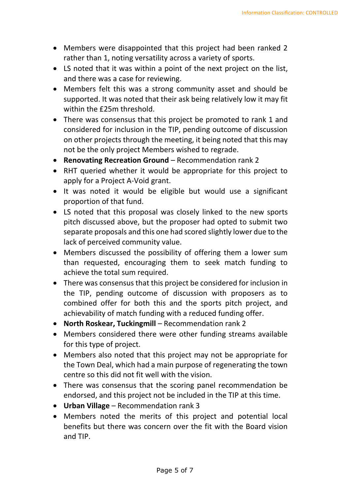- Members were disappointed that this project had been ranked 2 rather than 1, noting versatility across a variety of sports.
- LS noted that it was within a point of the next project on the list, and there was a case for reviewing.
- Members felt this was a strong community asset and should be supported. It was noted that their ask being relatively low it may fit within the £25m threshold.
- There was consensus that this project be promoted to rank 1 and considered for inclusion in the TIP, pending outcome of discussion on other projects through the meeting, it being noted that this may not be the only project Members wished to regrade.
- **Renovating Recreation Ground** Recommendation rank 2
- RHT queried whether it would be appropriate for this project to apply for a Project A-Void grant.
- It was noted it would be eligible but would use a significant proportion of that fund.
- LS noted that this proposal was closely linked to the new sports pitch discussed above, but the proposer had opted to submit two separate proposals and this one had scored slightly lower due to the lack of perceived community value.
- Members discussed the possibility of offering them a lower sum than requested, encouraging them to seek match funding to achieve the total sum required.
- There was consensus that this project be considered for inclusion in the TIP, pending outcome of discussion with proposers as to combined offer for both this and the sports pitch project, and achievability of match funding with a reduced funding offer.
- **North Roskear, Tuckingmill** Recommendation rank 2
- Members considered there were other funding streams available for this type of project.
- Members also noted that this project may not be appropriate for the Town Deal, which had a main purpose of regenerating the town centre so this did not fit well with the vision.
- There was consensus that the scoring panel recommendation be endorsed, and this project not be included in the TIP at this time.
- **Urban Village** Recommendation rank 3
- Members noted the merits of this project and potential local benefits but there was concern over the fit with the Board vision and TIP.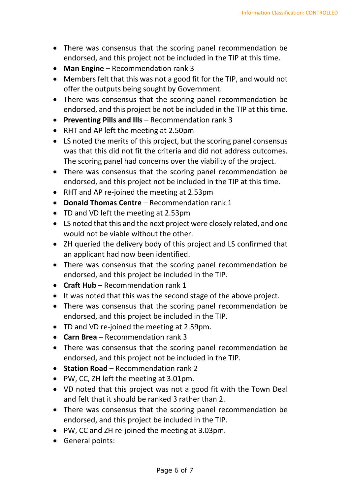- There was consensus that the scoring panel recommendation be endorsed, and this project not be included in the TIP at this time.
- **Man Engine** Recommendation rank 3
- Members felt that this was not a good fit for the TIP, and would not offer the outputs being sought by Government.
- There was consensus that the scoring panel recommendation be endorsed, and this project be not be included in the TIP at this time.
- **Preventing Pills and Ills** Recommendation rank 3
- RHT and AP left the meeting at 2.50pm
- LS noted the merits of this project, but the scoring panel consensus was that this did not fit the criteria and did not address outcomes. The scoring panel had concerns over the viability of the project.
- There was consensus that the scoring panel recommendation be endorsed, and this project not be included in the TIP at this time.
- RHT and AP re-joined the meeting at 2.53pm
- **Donald Thomas Centre** Recommendation rank 1
- TD and VD left the meeting at 2.53pm
- LS noted that this and the next project were closely related, and one would not be viable without the other.
- ZH queried the delivery body of this project and LS confirmed that an applicant had now been identified.
- There was consensus that the scoring panel recommendation be endorsed, and this project be included in the TIP.
- **Craft Hub** Recommendation rank 1
- It was noted that this was the second stage of the above project.
- There was consensus that the scoring panel recommendation be endorsed, and this project be included in the TIP.
- TD and VD re-joined the meeting at 2.59pm.
- **Carn Brea** Recommendation rank 3
- There was consensus that the scoring panel recommendation be endorsed, and this project not be included in the TIP.
- **Station Road** Recommendation rank 2
- PW, CC, ZH left the meeting at 3.01pm.
- VD noted that this project was not a good fit with the Town Deal and felt that it should be ranked 3 rather than 2.
- There was consensus that the scoring panel recommendation be endorsed, and this project be included in the TIP.
- PW, CC and ZH re-joined the meeting at 3.03pm.
- General points: